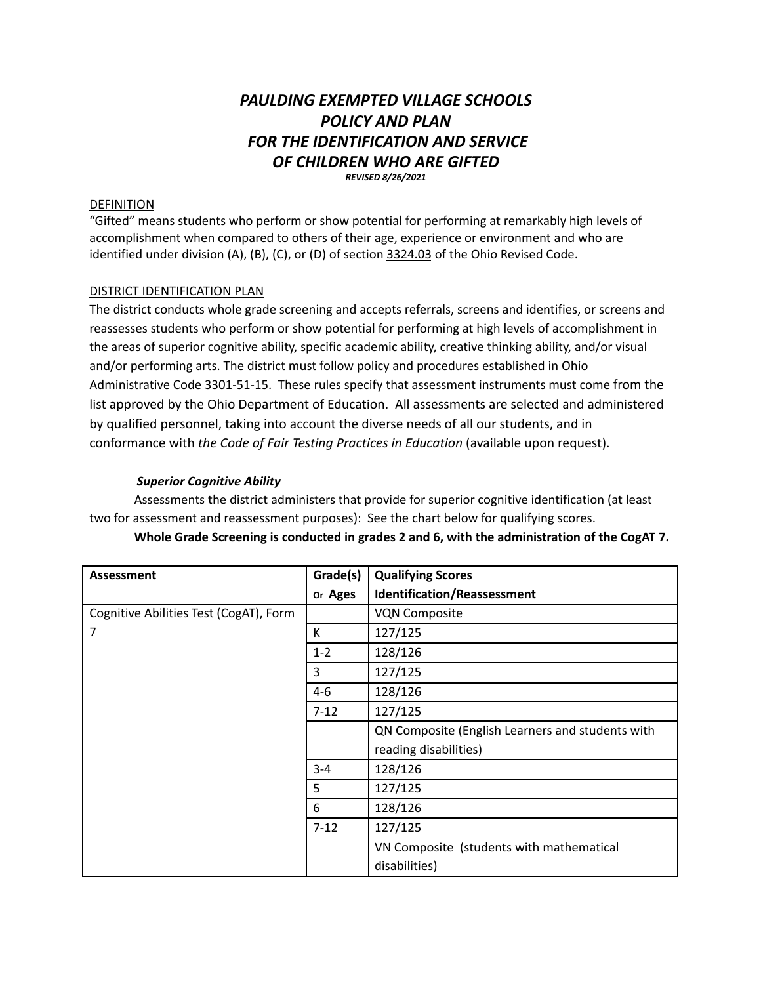# *PAULDING EXEMPTED VILLAGE SCHOOLS POLICY AND PLAN FOR THE IDENTIFICATION AND SERVICE OF CHILDREN WHO ARE GIFTED REVISED 8/26/2021*

#### DEFINITION

"Gifted" means students who perform or show potential for performing at remarkably high levels of accomplishment when compared to others of their age, experience or environment and who are identified under division (A), (B), (C), or (D) of section 3324.03 of the Ohio Revised Code.

## DISTRICT IDENTIFICATION PLAN

The district conducts whole grade screening and accepts referrals, screens and identifies, or screens and reassesses students who perform or show potential for performing at high levels of accomplishment in the areas of superior cognitive ability, specific academic ability, creative thinking ability, and/or visual and/or performing arts. The district must follow policy and procedures established in Ohio Administrative Code 3301-51-15. These rules specify that assessment instruments must come from the list approved by the Ohio Department of Education. All assessments are selected and administered by qualified personnel, taking into account the diverse needs of all our students, and in conformance with *the Code of Fair Testing Practices in Education* (available upon request).

## *Superior Cognitive Ability*

Assessments the district administers that provide for superior cognitive identification (at least two for assessment and reassessment purposes): See the chart below for qualifying scores.

| <b>Assessment</b>                      | Grade(s)            | <b>Qualifying Scores</b>                         |  |
|----------------------------------------|---------------------|--------------------------------------------------|--|
|                                        | or Ages             | <b>Identification/Reassessment</b>               |  |
| Cognitive Abilities Test (CogAT), Form |                     | <b>VQN Composite</b>                             |  |
| 7                                      | К                   | 127/125                                          |  |
|                                        | $1 - 2$             | 128/126                                          |  |
|                                        | 3                   | 127/125                                          |  |
|                                        | $4-6$               | 128/126                                          |  |
|                                        | 127/125<br>$7 - 12$ |                                                  |  |
|                                        |                     | QN Composite (English Learners and students with |  |
|                                        |                     | reading disabilities)                            |  |
|                                        | $3 - 4$             | 128/126                                          |  |
|                                        | 5                   | 127/125                                          |  |
|                                        | 6                   | 128/126                                          |  |
|                                        | $7 - 12$            | 127/125                                          |  |
|                                        |                     | VN Composite (students with mathematical         |  |
|                                        |                     | disabilities)                                    |  |

# **Whole Grade Screening is conducted in grades 2 and 6, with the administration of the CogAT 7.**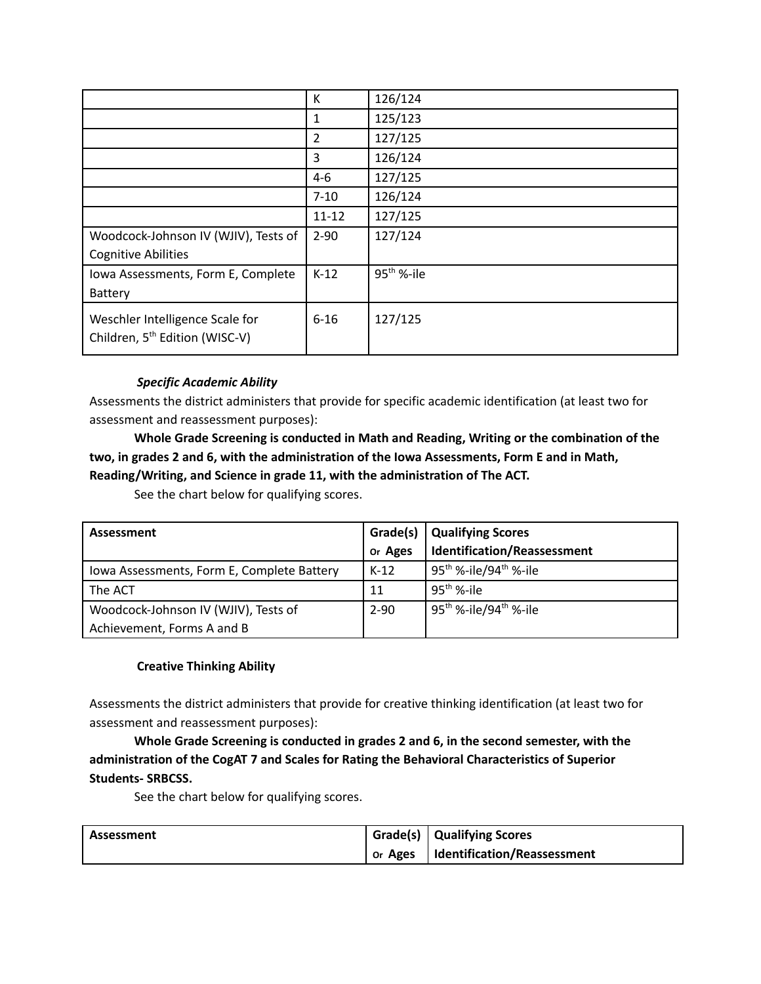|                                            | К         | 126/124                |
|--------------------------------------------|-----------|------------------------|
|                                            | 1         | 125/123                |
|                                            | 2         | 127/125                |
|                                            | 3         | 126/124                |
|                                            | $4 - 6$   | 127/125                |
|                                            | $7 - 10$  | 126/124                |
|                                            | $11 - 12$ | 127/125                |
| Woodcock-Johnson IV (WJIV), Tests of       | $2 - 90$  | 127/124                |
| <b>Cognitive Abilities</b>                 |           |                        |
| Iowa Assessments, Form E, Complete         | $K-12$    | 95 <sup>th</sup> %-ile |
| Battery                                    |           |                        |
| Weschler Intelligence Scale for            | $6 - 16$  | 127/125                |
| Children, 5 <sup>th</sup> Edition (WISC-V) |           |                        |
|                                            |           |                        |

# *Specific Academic Ability*

Assessments the district administers that provide for specific academic identification (at least two for assessment and reassessment purposes):

**Whole Grade Screening is conducted in Math and Reading, Writing or the combination of the two, in grades 2 and 6, with the administration of the Iowa Assessments, Form E and in Math, Reading/Writing, and Science in grade 11, with the administration of The ACT.**

See the chart below for qualifying scores.

| Assessment                                 | Grade(s) | <b>Qualifying Scores</b>               |
|--------------------------------------------|----------|----------------------------------------|
|                                            | or Ages  | <b>Identification/Reassessment</b>     |
| Iowa Assessments, Form E, Complete Battery | $K-12$   | $95^{th}$ %-ile/94 <sup>th</sup> %-ile |
| The ACT                                    | 11       | $95^{th}$ %-ile                        |
| Woodcock-Johnson IV (WJIV), Tests of       | $2 - 90$ | $95^{th}$ %-ile/94 <sup>th</sup> %-ile |
| Achievement, Forms A and B                 |          |                                        |

# **Creative Thinking Ability**

Assessments the district administers that provide for creative thinking identification (at least two for assessment and reassessment purposes):

**Whole Grade Screening is conducted in grades 2 and 6, in the second semester, with the administration of the CogAT 7 and Scales for Rating the Behavioral Characteristics of Superior Students- SRBCSS.**

See the chart below for qualifying scores.

| Assessment | Grade(s)   Qualifying Scores          |  |
|------------|---------------------------------------|--|
|            | or Ages   Identification/Reassessment |  |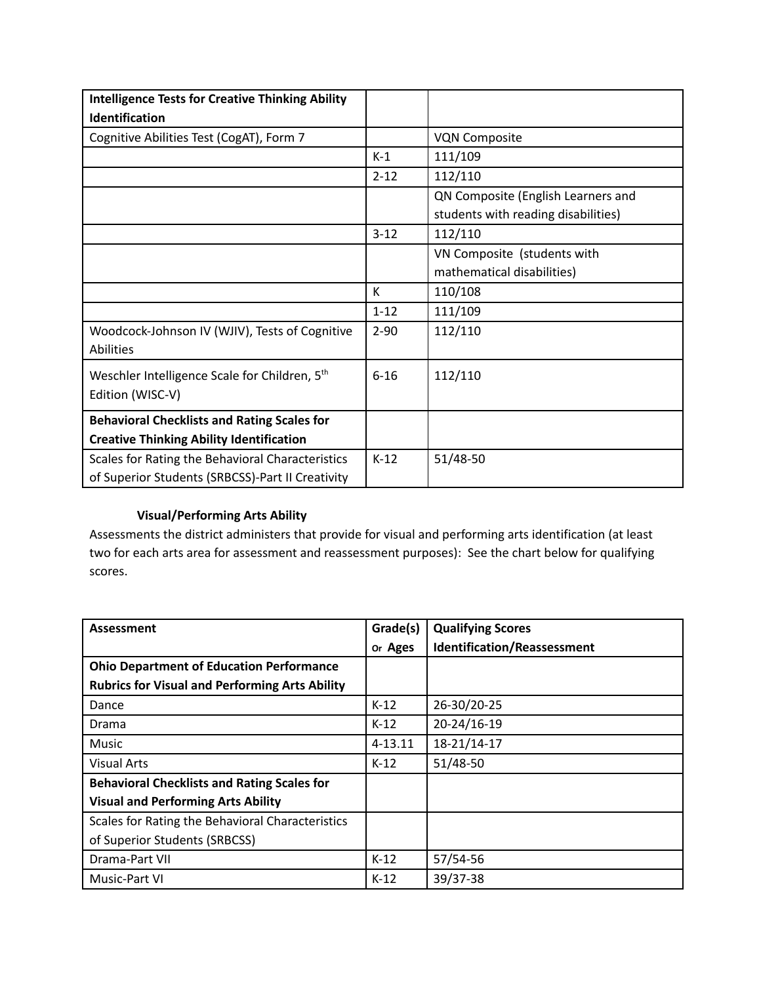| <b>Intelligence Tests for Creative Thinking Ability</b>     |          |                                     |
|-------------------------------------------------------------|----------|-------------------------------------|
| Identification                                              |          |                                     |
| Cognitive Abilities Test (CogAT), Form 7                    |          | <b>VQN Composite</b>                |
|                                                             | $K-1$    | 111/109                             |
|                                                             | $2 - 12$ | 112/110                             |
|                                                             |          | QN Composite (English Learners and  |
|                                                             |          | students with reading disabilities) |
|                                                             | $3 - 12$ | 112/110                             |
|                                                             |          | VN Composite (students with         |
|                                                             |          | mathematical disabilities)          |
|                                                             | K        | 110/108                             |
|                                                             | $1 - 12$ | 111/109                             |
| Woodcock-Johnson IV (WJIV), Tests of Cognitive<br>Abilities | $2 - 90$ | 112/110                             |
|                                                             |          |                                     |
| Weschler Intelligence Scale for Children, 5 <sup>th</sup>   | $6 - 16$ | 112/110                             |
| Edition (WISC-V)                                            |          |                                     |
| <b>Behavioral Checklists and Rating Scales for</b>          |          |                                     |
| <b>Creative Thinking Ability Identification</b>             |          |                                     |
| Scales for Rating the Behavioral Characteristics            | $K-12$   | 51/48-50                            |
| of Superior Students (SRBCSS)-Part II Creativity            |          |                                     |

# **Visual/Performing Arts Ability**

Assessments the district administers that provide for visual and performing arts identification (at least two for each arts area for assessment and reassessment purposes): See the chart below for qualifying scores.

| Assessment                                            | Grade(s)    | <b>Qualifying Scores</b>    |
|-------------------------------------------------------|-------------|-----------------------------|
|                                                       | or Ages     | Identification/Reassessment |
| <b>Ohio Department of Education Performance</b>       |             |                             |
| <b>Rubrics for Visual and Performing Arts Ability</b> |             |                             |
| Dance                                                 | $K-12$      | 26-30/20-25                 |
| Drama                                                 | $K-12$      | 20-24/16-19                 |
| <b>Music</b>                                          | $4 - 13.11$ | 18-21/14-17                 |
| <b>Visual Arts</b>                                    | $K-12$      | 51/48-50                    |
| <b>Behavioral Checklists and Rating Scales for</b>    |             |                             |
| <b>Visual and Performing Arts Ability</b>             |             |                             |
| Scales for Rating the Behavioral Characteristics      |             |                             |
| of Superior Students (SRBCSS)                         |             |                             |
| Drama-Part VII                                        | $K-12$      | 57/54-56                    |
| Music-Part VI                                         | $K-12$      | 39/37-38                    |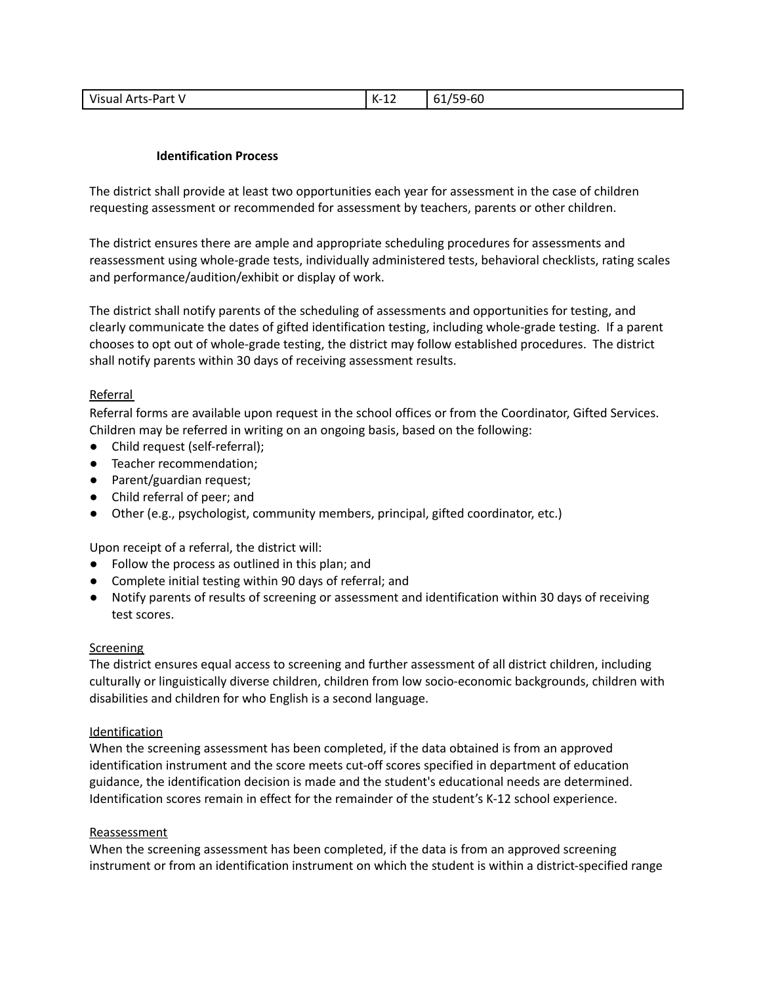| Visual Arts-Part | $K-12$ | /59-60<br>61/55 |
|------------------|--------|-----------------|
|------------------|--------|-----------------|

## **Identification Process**

The district shall provide at least two opportunities each year for assessment in the case of children requesting assessment or recommended for assessment by teachers, parents or other children.

The district ensures there are ample and appropriate scheduling procedures for assessments and reassessment using whole-grade tests, individually administered tests, behavioral checklists, rating scales and performance/audition/exhibit or display of work.

The district shall notify parents of the scheduling of assessments and opportunities for testing, and clearly communicate the dates of gifted identification testing, including whole-grade testing. If a parent chooses to opt out of whole-grade testing, the district may follow established procedures. The district shall notify parents within 30 days of receiving assessment results.

#### Referral

Referral forms are available upon request in the school offices or from the Coordinator, Gifted Services. Children may be referred in writing on an ongoing basis, based on the following:

- Child request (self-referral);
- Teacher recommendation;
- Parent/guardian request;
- Child referral of peer; and
- Other (e.g., psychologist, community members, principal, gifted coordinator, etc.)

Upon receipt of a referral, the district will:

- Follow the process as outlined in this plan; and
- Complete initial testing within 90 days of referral; and
- Notify parents of results of screening or assessment and identification within 30 days of receiving test scores.

## **Screening**

The district ensures equal access to screening and further assessment of all district children, including culturally or linguistically diverse children, children from low socio-economic backgrounds, children with disabilities and children for who English is a second language.

#### **Identification**

When the screening assessment has been completed, if the data obtained is from an approved identification instrument and the score meets cut-off scores specified in department of education guidance, the identification decision is made and the student's educational needs are determined. Identification scores remain in effect for the remainder of the student's K-12 school experience.

#### Reassessment

When the screening assessment has been completed, if the data is from an approved screening instrument or from an identification instrument on which the student is within a district-specified range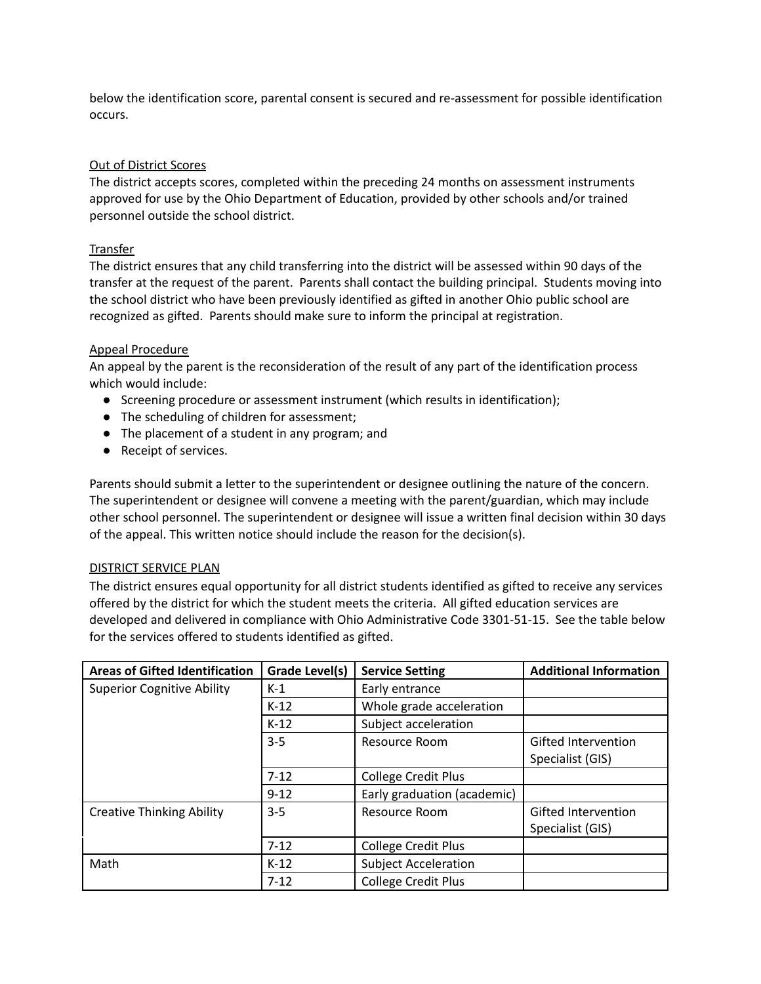below the identification score, parental consent is secured and re-assessment for possible identification occurs.

## Out of District Scores

The district accepts scores, completed within the preceding 24 months on assessment instruments approved for use by the Ohio Department of Education, provided by other schools and/or trained personnel outside the school district.

#### Transfer

The district ensures that any child transferring into the district will be assessed within 90 days of the transfer at the request of the parent. Parents shall contact the building principal. Students moving into the school district who have been previously identified as gifted in another Ohio public school are recognized as gifted. Parents should make sure to inform the principal at registration.

#### Appeal Procedure

An appeal by the parent is the reconsideration of the result of any part of the identification process which would include:

- Screening procedure or assessment instrument (which results in identification);
- The scheduling of children for assessment;
- The placement of a student in any program; and
- Receipt of services.

Parents should submit a letter to the superintendent or designee outlining the nature of the concern. The superintendent or designee will convene a meeting with the parent/guardian, which may include other school personnel. The superintendent or designee will issue a written final decision within 30 days of the appeal. This written notice should include the reason for the decision(s).

#### DISTRICT SERVICE PLAN

The district ensures equal opportunity for all district students identified as gifted to receive any services offered by the district for which the student meets the criteria. All gifted education services are developed and delivered in compliance with Ohio Administrative Code 3301-51-15. See the table below for the services offered to students identified as gifted.

| <b>Areas of Gifted Identification</b> | Grade Level(s) | <b>Service Setting</b>      | <b>Additional Information</b> |
|---------------------------------------|----------------|-----------------------------|-------------------------------|
| <b>Superior Cognitive Ability</b>     | $K-1$          | Early entrance              |                               |
|                                       | $K-12$         | Whole grade acceleration    |                               |
|                                       | $K-12$         | Subject acceleration        |                               |
|                                       | $3-5$          | Resource Room               | Gifted Intervention           |
|                                       |                |                             | Specialist (GIS)              |
|                                       | $7 - 12$       | <b>College Credit Plus</b>  |                               |
|                                       | $9 - 12$       | Early graduation (academic) |                               |
| <b>Creative Thinking Ability</b>      | $3 - 5$        | Resource Room               | <b>Gifted Intervention</b>    |
|                                       |                |                             | Specialist (GIS)              |
|                                       | $7 - 12$       | <b>College Credit Plus</b>  |                               |
| Math                                  | $K-12$         | <b>Subject Acceleration</b> |                               |
|                                       | $7 - 12$       | <b>College Credit Plus</b>  |                               |